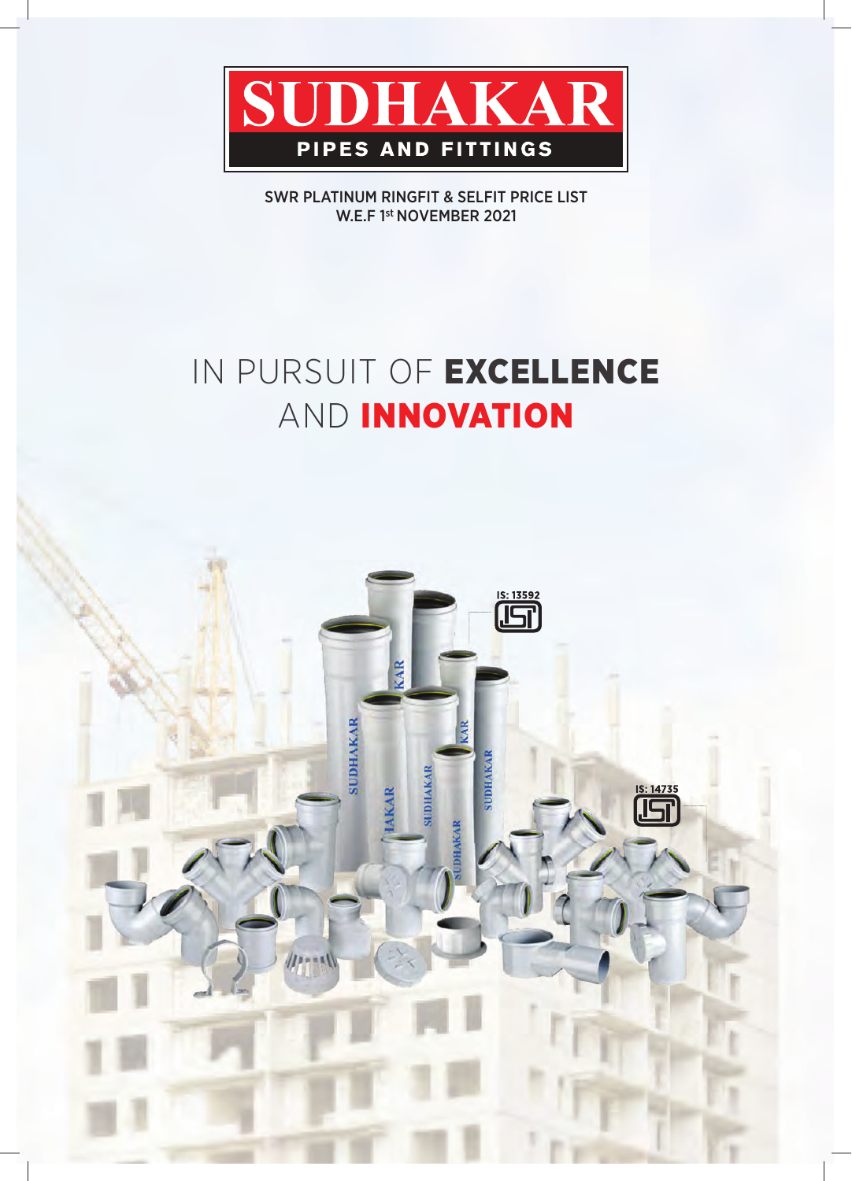

SWR PLATINUM RINGFIT & SELFIT PRICE LIST W.E.F 1st NOVEMBER 2021

# IN PURSUIT OF EXCELLENCE AND INNOVATION

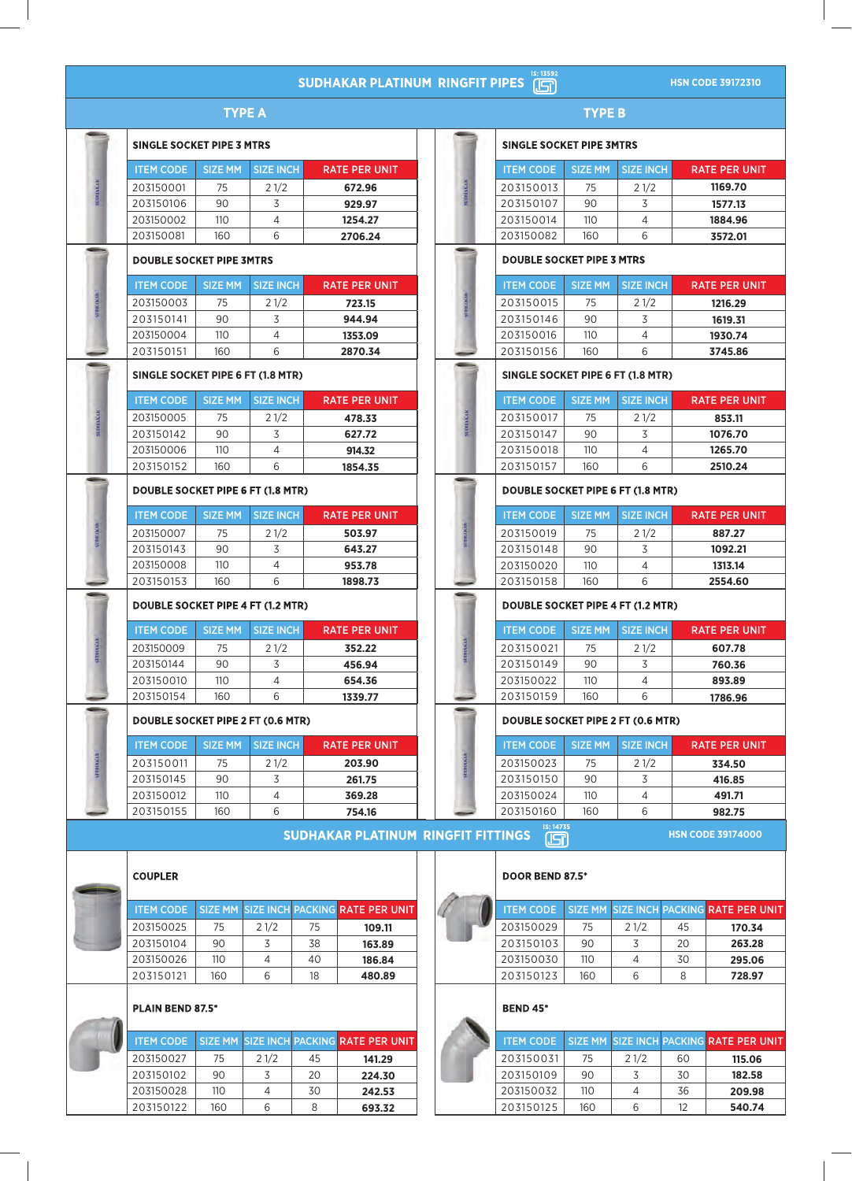### SUDHAKAR PLATINUM RINGFIT PIPES

**HSN CODE 39172310**

RATE PER UNIT 203150031 75 2 1/2 60 **115.06** 203150109 90 3 30 **182.58** 203150032 110 4 36 **209.98**

|                                          | <b>TYPE A</b>  |                  |    |                                         |                                          | <b>TYPE B</b>  |                  |    |                                      |
|------------------------------------------|----------------|------------------|----|-----------------------------------------|------------------------------------------|----------------|------------------|----|--------------------------------------|
| <b>SINGLE SOCKET PIPE 3 MTRS</b>         |                |                  |    |                                         | <b>SINGLE SOCKET PIPE 3MTRS</b>          |                |                  |    |                                      |
| <b>ITEM CODE</b>                         | <b>SIZE MM</b> | <b>SIZE INCH</b> |    | <b>RATE PER UNIT</b>                    | <b>ITEM CODE</b>                         | <b>SIZE MM</b> | <b>SIZE INCH</b> |    | <b>RATE PER UNIT</b>                 |
| 203150001                                | 75             | 21/2             |    | 672.96                                  | 203150013                                | 75             | 21/2             |    | 1169.70                              |
| 203150106                                | 90             | 3                |    | 929.97                                  | 203150107                                | 90             | 3                |    | 1577.13                              |
| 203150002                                | 110            | 4                |    | 1254.27                                 | 203150014                                | 110            | 4                |    | 1884.96                              |
| 203150081                                | 160            | 6                |    | 2706.24                                 | 203150082                                | 160            | 6                |    | 3572.01                              |
| <b>DOUBLE SOCKET PIPE 3MTRS</b>          |                |                  |    |                                         | <b>DOUBLE SOCKET PIPE 3 MTRS</b>         |                |                  |    |                                      |
| <b>ITEM CODE</b>                         | <b>SIZE MM</b> | <b>SIZE INCH</b> |    | <b>RATE PER UNIT</b>                    | <b>ITEM CODE</b>                         | <b>SIZE MM</b> | <b>SIZE INCH</b> |    | <b>RATE PER UNIT</b>                 |
| 203150003                                | 75             | 21/2             |    | 723.15                                  | 203150015                                | 75             | 21/2             |    | 1216.29                              |
| 203150141                                | 90             | 3                |    | 944.94                                  | 203150146                                | 90             | 3                |    | 1619.31                              |
| 203150004                                | 110            | 4                |    | 1353.09                                 | 203150016                                | 110            | 4                |    | 1930.74                              |
| 203150151                                | 160            | 6                |    | 2870.34                                 | 203150156                                | 160            | 6                |    | 3745.86                              |
| SINGLE SOCKET PIPE 6 FT (1.8 MTR)        |                |                  |    |                                         | SINGLE SOCKET PIPE 6 FT (1.8 MTR)        |                |                  |    |                                      |
| <b>ITEM CODE</b>                         | <b>SIZE MM</b> | <b>SIZE INCH</b> |    | <b>RATE PER UNIT</b>                    | <b>ITEM CODE</b>                         | <b>SIZE MM</b> | <b>SIZE INCH</b> |    | <b>RATE PER UNIT</b>                 |
| 203150005                                | 75             | 21/2             |    | 478.33                                  | 203150017                                | 75             | 21/2             |    | 853.11                               |
| 203150142                                | 90             | 3                |    | 627.72                                  | 203150147                                | 90             | 3                |    | 1076.70                              |
| 203150006                                | 110            | 4                |    | 914.32                                  | 203150018                                | 110            | 4                |    | 1265.70                              |
| 203150152                                | 160            | 6                |    | 1854.35                                 | 203150157                                | 160            | 6                |    | 2510.24                              |
| <b>DOUBLE SOCKET PIPE 6 FT (1.8 MTR)</b> |                |                  |    |                                         | DOUBLE SOCKET PIPE 6 FT (1.8 MTR)        |                |                  |    |                                      |
| <b>ITEM CODE</b>                         | <b>SIZE MM</b> | <b>SIZE INCH</b> |    | <b>RATE PER UNIT</b>                    | <b>ITEM CODE</b>                         | <b>SIZE MM</b> | <b>SIZE INCH</b> |    | <b>RATE PER UNIT</b>                 |
| 203150007                                | 75             | 21/2             |    | 503.97                                  | 203150019                                | 75             | 21/2             |    | 887.27                               |
| 203150143                                | 90             | 3                |    | 643.27                                  | 203150148                                | 90             | 3                |    | 1092.21                              |
| 203150008                                | 110            | 4                |    | 953.78                                  | 203150020                                | 110            | 4                |    | 1313.14                              |
| 203150153                                | 160            | 6                |    | 1898.73                                 | 203150158                                | 160            | 6                |    | 2554.60                              |
| <b>DOUBLE SOCKET PIPE 4 FT (1.2 MTR)</b> |                |                  |    |                                         | <b>DOUBLE SOCKET PIPE 4 FT (1.2 MTR)</b> |                |                  |    |                                      |
| <b>ITEM CODE</b>                         | <b>SIZE MM</b> | <b>SIZE INCH</b> |    | <b>RATE PER UNIT</b>                    | <b>ITEM CODE</b>                         | <b>SIZE MM</b> | <b>SIZE INCH</b> |    | <b>RATE PER UNIT</b>                 |
| 203150009                                | 75             | 21/2             |    | 352.22                                  | 203150021                                | 75             | 21/2             |    | 607.78                               |
| 203150144                                | 90             | 3                |    | 456.94                                  | 203150149                                | 90             | 3                |    | 760.36                               |
| 203150010                                | 110            | 4                |    | 654.36                                  | 203150022                                | 110            | 4                |    | 893.89                               |
| 203150154                                | 160            | 6                |    | 1339.77                                 | 203150159                                | 160            | 6                |    | 1786.96                              |
| <b>DOUBLE SOCKET PIPE 2 FT (0.6 MTR)</b> |                |                  |    |                                         | <b>DOUBLE SOCKET PIPE 2 FT (0.6 MTR)</b> |                |                  |    |                                      |
| <b>ITEM CODE</b>                         | <b>SIZE MM</b> | <b>SIZE INCH</b> |    | <b>RATE PER UNIT</b>                    | <b>ITEM CODE</b>                         | <b>SIZE MM</b> | <b>SIZE INCH</b> |    | <b>RATE PER UNIT</b>                 |
| 203150011                                | 75             | 21/2             |    | 203.90                                  | 203150023                                | 75             | 21/2             |    | 334.50                               |
| 203150145                                | 90             | 3                |    | 261.75                                  | 203150150                                | 90             | 3                |    | 416.85                               |
| 203150012                                | 110            | 4                |    | 369.28                                  | 203150024                                | 110            | 4                |    | 491.71                               |
| 203150155                                | 160            | 6                |    | 754.16                                  | 203150160                                | 160            | 6                |    | 982.75                               |
|                                          |                |                  |    | SUDHAKAR PLATINUM RINGFIT FITTINGS      | IS: 14735<br>$\Box$                      |                |                  |    | <b>HSN CODE 39174000</b>             |
|                                          |                |                  |    |                                         |                                          |                |                  |    |                                      |
| <b>COUPLER</b>                           |                |                  |    |                                         | <b>DOOR BEND 87.5*</b>                   |                |                  |    |                                      |
| <b>ITEM CODE</b>                         |                |                  |    | SIZE MM SIZE INCH PACKING RATE PER UNIT | <b>ITEM CODE</b>                         |                |                  |    | SIZE MM SIZE INCH PACKING RATE PER U |
| 203150025                                | 75             | 21/2             | 75 | 109.11                                  | 203150029                                | 75             | 21/2             | 45 | 170.34                               |
| 203150104                                | 90             | 3                | 38 | 163.89                                  | 203150103                                | 90             | 3                | 20 | 263.28                               |
| 203150026                                | 110            | 4                | 40 | 186.84                                  | 203150030                                | 110            | 4                | 30 | 295.06                               |
| 203150121                                | 160            | 6                | 18 | 480.89                                  | 203150123                                | 160            | 6                | 8  | 728.97                               |
|                                          |                |                  |    |                                         |                                          |                |                  |    |                                      |
| PLAIN BEND 87.5*                         |                |                  |    |                                         | <b>BEND 45*</b>                          |                |                  |    |                                      |
| <b>ITEM CODE</b>                         |                |                  |    | SIZE MM SIZE INCH PACKING RATE PER UNIT | <b>ITEM CODE</b>                         |                |                  |    | SIZE MM SIZE INCH PACKING RATE PER U |
| 203150027                                | 75             | 21/2             | 45 | 141.29                                  | 203150031                                | 75             | 21/2             | 60 | 115.06                               |
| 203150102                                | 90             | 3                | 20 | 224.30                                  | 203150109                                | 90             | 3                | 30 | 182.58                               |
| 203150028                                | 110            | 4                | 30 | 242.53                                  | 203150032                                | 110            | 4                | 36 | 209.98                               |
| 203150122                                | 160            | 6                | 8  | 693.32                                  | 203150125                                | 160            | 6                | 12 | 540.74                               |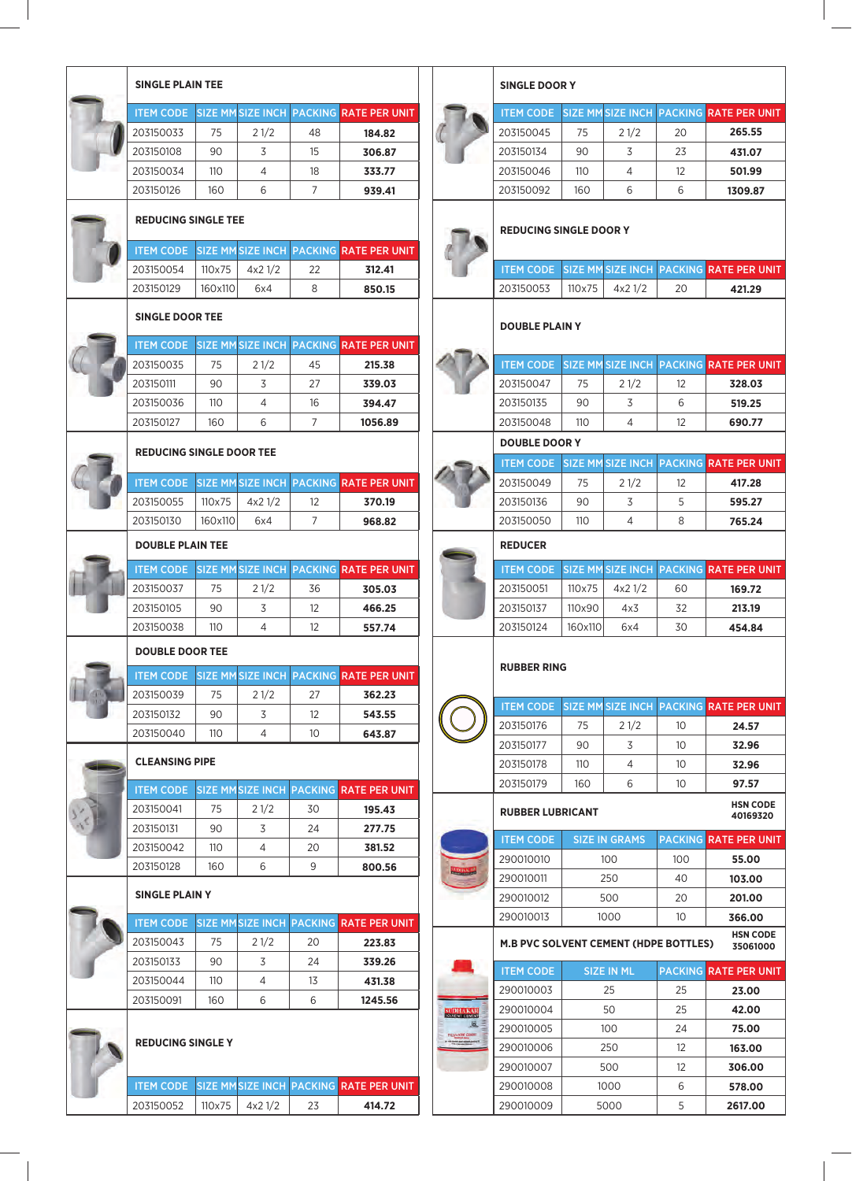| <b>SINGLE PLAIN TEE</b>         |         |                          |                   |                                         |  |  |  |
|---------------------------------|---------|--------------------------|-------------------|-----------------------------------------|--|--|--|
| <b>ITEM CODE</b>                |         | SIZE MM SIZE INCH        | <b>PACKING</b>    | <b>RATE PER UNIT</b>                    |  |  |  |
| 203150033                       | 75      | 21/2                     | 48                | 184.82                                  |  |  |  |
| 203150108                       | 90      | 3                        | 15                | 306.87                                  |  |  |  |
| 203150034                       | 110     | 4                        | 18                | 333.77                                  |  |  |  |
| 203150126                       | 160     | 6                        | 7                 | 939.41                                  |  |  |  |
| <b>REDUCING SINGLE TEE</b>      |         |                          |                   |                                         |  |  |  |
| <b>ITEM CODE</b>                |         |                          |                   | SIZE MM SIZE INCH PACKING RATE PER UNIT |  |  |  |
| 203150054                       | 110x75  | 4x21/2                   | 22                | 312.41                                  |  |  |  |
| 203150129                       | 160x110 | 6x4                      | 8                 | 850.15                                  |  |  |  |
| <b>SINGLE DOOR TEE</b>          |         |                          |                   |                                         |  |  |  |
| <b>ITEM CODE</b>                |         | <b>SIZE MM SIZE INCH</b> | <b>PACKING</b>    | <b>RATE PER UNIT</b>                    |  |  |  |
| 203150035                       | 75      | 21/2                     | 45                | 215.38                                  |  |  |  |
| 203150111                       | 90      | 3                        | 27                | 339.03                                  |  |  |  |
| 203150036                       | 110     | 4                        | 16                | 394.47                                  |  |  |  |
| 203150127                       | 160     | 6                        | 7                 | 1056.89                                 |  |  |  |
| <b>REDUCING SINGLE DOOR TEE</b> |         |                          |                   |                                         |  |  |  |
| <b>ITEM CODE</b>                |         | SIZE MM SIZE INCH        | <b>PACKING</b>    | <b>RATE PER UNIT</b>                    |  |  |  |
| 203150055                       | 110x75  | 4x21/2                   | 12                | 370.19                                  |  |  |  |
| 203150130                       | 160x110 | 6x4                      | 7                 | 968.82                                  |  |  |  |
| <b>DOUBLE PLAIN TEE</b>         |         |                          |                   |                                         |  |  |  |
| <b>ITEM CODE</b>                |         | <b>SIZE MM SIZE INCH</b> | <b>PACKING</b>    | <b>RATE PER UNIT</b>                    |  |  |  |
| 203150037                       | 75      | 21/2                     | 36                | 305.03                                  |  |  |  |
| 203150105                       | 90      | 3                        | $12 \overline{ }$ | 466.25                                  |  |  |  |
| 203150038                       | 110     | 4                        | 12                | 557.74                                  |  |  |  |
| <b>DOUBLE DOOR TEE</b>          |         |                          |                   |                                         |  |  |  |
| <b>ITEM CODE</b>                |         | SIZE MM SIZE INCH        |                   | <b>PACKING RATE PER UNIT</b>            |  |  |  |
| 203150039                       | 75      | 21/2                     | 27                | 362.23                                  |  |  |  |
| 203150132                       | 90      | 3                        | $12 \overline{ }$ | 543.55                                  |  |  |  |
| 203150040                       | 110     | 4                        | 10                | 643.87                                  |  |  |  |
| <b>CLEANSING PIPE</b>           |         |                          |                   |                                         |  |  |  |
| <b>ITEM CODE</b>                |         | <b>SIZE MMSIZE INCH</b>  | <b>PACKING</b>    | <b>RATE PER UNIT</b>                    |  |  |  |
| 203150041                       | 75      | 21/2                     | 30                | 195.43                                  |  |  |  |
| 203150131                       | 90      | 3                        | 24                | 277.75                                  |  |  |  |
| 203150042                       | 110     | 4                        | 20                | 381.52                                  |  |  |  |
| 203150128                       | 160     | 6                        | 9                 | 800.56                                  |  |  |  |
| <b>SINGLE PLAIN Y</b>           |         |                          |                   |                                         |  |  |  |
| <b>ITEM CODE</b>                |         | <b>SIZE MMSIZE INCH</b>  |                   | <b>PACKING RATE PER UNIT</b>            |  |  |  |
| 203150043                       | 75      | 2 1/2                    | 20                | 223.83                                  |  |  |  |
| 203150133                       | 90      | 3                        | 24                | 339.26                                  |  |  |  |
| 203150044                       | 110     | 4                        | 13                | 431.38                                  |  |  |  |
| 203150091                       | 160     | 6                        | 6                 | 1245.56                                 |  |  |  |
| <b>REDUCING SINGLE Y</b>        |         |                          |                   |                                         |  |  |  |
| <b>ITEM CODE</b>                |         | <b>SIZE MMSIZE INCH</b>  | <b>PACKING</b>    | <b>RATE PER UNIT</b>                    |  |  |  |
| 203150052                       | 110x75  | 4x2 1/2                  | 23                | 414.72                                  |  |  |  |
|                                 |         |                          |                   |                                         |  |  |  |

### ITEM CODE SIZE MM SIZE INCH PACKING RATE PER UNIT 203150045 75 21/2 20 203150134 90 3 23 **431.07** 203150046 110 4 12 **501.99** 203150092 160 6 6 **1309.87 SINGLE DOOR Y** ITEM CODE SIZE MM SIZE INCH PACKING RATE PER UNIT 203150053 110x75 4x2 1/2 20 **421.29 REDUCING SINGLE DOOR Y** ITEM CODE SIZE MM SIZE INCH PACKING RATE PER UNIT 203150047 75 2 1/2 12 **328.03** 203150135 90 3 6 5**19.25** 203150048 110 4 12 **690.77 DOUBLE PLAIN Y** ITEM CODE SIZE MM SIZE INCH PACKING RATE PER UNIT 203150049 75 2 1/2 12 **417.28** 203150136 90 3 595.27 203150050 110 4 8 **765.24 DOUBLE DOOR Y** ITEM CODE SIZE MM SIZE INCH PACKING RATE PER UNIT 203150051 110x75 4x2 1/2 60 **169.72** 203150137 110x90 4x3 32 **213.19** 203150124 160x110 6x4 30 **454.84 REDUCER** ITEM CODE SIZE MM SIZE INCH PACKING RATE PER UNIT 203150176 75 2 1/2 10 **24.57** 203150177 90 3 10 32.96 203150178 110 4 10 **32.96** 203150179 160 6 10 **97.57 RUBBER RING** ITEM CODE | SIZE IN GRAMS | PACKING RATE PER UNIT 290010010 100 100 **55.00** 290010011 250 40 **103.00** 290010012 500 20 **201.00** 290010013 1000 10 366.00 **RUBBER LUBRICANT** ITEM CODE SIZE IN ML PACKING RATE PER UNIT 290010003 25 25 **23.00** 290010004 50 25 **42.00 M.B PVC SOLVENT CEMENT (HDPE BOTTLES) 265.55 HSN CODE 35061000 HSN CODE 40169320**

290010005 100 24 **75.00** 290010006 250 12 **163.00** 290010007 500 12 **306.00** 290010008 1000 6 **578.00** 290010009 5000 5 **2617.00**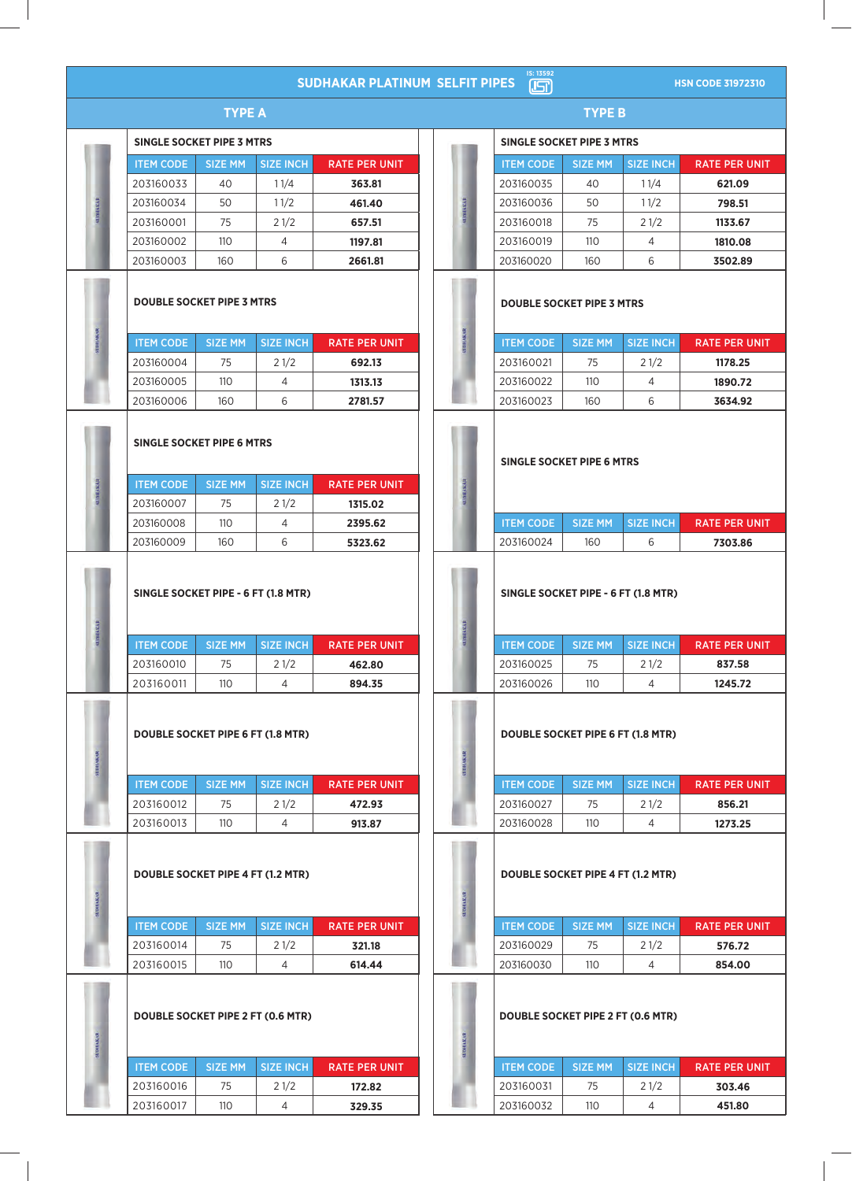|                                                      |                |                  | SUDHAKAR PLATINUM SELFIT PIPES | IS: 13592<br>$\Box$                      |                |                  | <b>HSN CODE 31972310</b> |
|------------------------------------------------------|----------------|------------------|--------------------------------|------------------------------------------|----------------|------------------|--------------------------|
|                                                      | <b>TYPE A</b>  |                  |                                |                                          | <b>TYPE B</b>  |                  |                          |
| <b>SINGLE SOCKET PIPE 3 MTRS</b>                     |                |                  |                                | <b>SINGLE SOCKET PIPE 3 MTRS</b>         |                |                  |                          |
| <b>ITEM CODE</b>                                     | <b>SIZE MM</b> | <b>SIZE INCH</b> | <b>RATE PER UNIT</b>           | <b>ITEM CODE</b>                         | <b>SIZE MM</b> | <b>SIZE INCH</b> | <b>RATE PER UNIT</b>     |
| 203160033                                            | 40             | 11/4             | 363.81                         | 203160035                                | 40             | 11/4             | 621.09                   |
| 203160034                                            | 50             | 11/2             | 461.40                         | 203160036                                | 50             | 11/2             | 798.51                   |
| 203160001                                            | 75             | 21/2             | 657.51                         | 203160018                                | 75             | 21/2             | 1133.67                  |
| 203160002                                            | 110            | 4                | 1197.81                        | 203160019                                | 110            | 4                | 1810.08                  |
| 203160003                                            | 160            | 6                | 2661.81                        | 203160020                                | 160            | 6                | 3502.89                  |
| <b>DOUBLE SOCKET PIPE 3 MTRS</b>                     |                |                  |                                | <b>DOUBLE SOCKET PIPE 3 MTRS</b>         |                |                  |                          |
| <b>ITEM CODE</b>                                     | <b>SIZE MM</b> | <b>SIZE INCH</b> | <b>RATE PER UNIT</b>           | <b>ITEM CODE</b>                         | <b>SIZE MM</b> | <b>SIZE INCH</b> | <b>RATE PER UNIT</b>     |
| 203160004                                            | 75             | 21/2             | 692.13                         | 203160021                                | 75             | 21/2             | 1178.25                  |
| 203160005                                            | 110            | 4                | 1313.13                        | 203160022                                | 110            | 4                | 1890.72                  |
| 203160006                                            | 160            | 6                | 2781.57                        | 203160023                                | 160            | 6                | 3634.92                  |
| <b>SINGLE SOCKET PIPE 6 MTRS</b><br><b>ITEM CODE</b> | <b>SIZE MM</b> | <b>SIZE INCH</b> | <b>RATE PER UNIT</b>           | <b>SINGLE SOCKET PIPE 6 MTRS</b>         |                |                  |                          |
|                                                      |                |                  |                                |                                          |                |                  |                          |
| 203160007<br>203160008                               | 75<br>110      | 21/2             | 1315.02                        | <b>ITEM CODE</b>                         | <b>SIZE MM</b> | <b>SIZE INCH</b> | <b>RATE PER UNIT</b>     |
| 203160009                                            | 160            | 4<br>6           | 2395.62<br>5323.62             | 203160024                                | 160            | 6                | 7303.86                  |
| SINGLE SOCKET PIPE - 6 FT (1.8 MTR)                  |                |                  |                                | SINGLE SOCKET PIPE - 6 FT (1.8 MTR)      |                |                  |                          |
| <b>ITEM CODE</b>                                     | <b>SIZE MM</b> | <b>SIZE INCH</b> | <b>RATE PER UNIT</b>           | <b>ITEM CODE</b>                         | <b>SIZE MM</b> | <b>SIZE INCH</b> | <b>RATE PER UNIT</b>     |
| 203160010                                            | 75             | 21/2             | 462.80                         | 203160025                                | 75             | $21/2$           | 837.58                   |
| 203160011                                            | 110            | 4                | 894.35                         | 203160026                                | 110            | 4                | 1245.72                  |
| DOUBLE SOCKET PIPE 6 FT (1.8 MTR)                    |                |                  |                                | <b>DOUBLE SOCKET PIPE 6 FT (1.8 MTR)</b> |                |                  |                          |
| <b>ITEM CODE</b>                                     | <b>SIZE MM</b> | <b>SIZE INCH</b> | <b>RATE PER UNIT</b>           | <b>ITEM CODE</b>                         | <b>SIZE MM</b> | <b>SIZE INCH</b> | <b>RATE PER UNIT</b>     |
| 203160012                                            | 75             | 21/2             | 472.93                         | 203160027                                | 75             | 21/2             | 856.21                   |
| 203160013                                            | 110            | 4                | 913.87                         | 203160028                                | 110            | 4                | 1273.25                  |
| DOUBLE SOCKET PIPE 4 FT (1.2 MTR)                    |                |                  |                                | <b>DOUBLE SOCKET PIPE 4 FT (1.2 MTR)</b> |                |                  |                          |
| <b>ITEM CODE</b>                                     | <b>SIZE MM</b> | <b>SIZE INCH</b> | <b>RATE PER UNIT</b>           | <b>ITEM CODE</b>                         | <b>SIZE MM</b> | <b>SIZE INCH</b> | <b>RATE PER UNIT</b>     |
| 203160014                                            | 75             | 21/2             | 321.18                         | 203160029                                | 75             | 21/2             | 576.72                   |
| 203160015                                            | 110            | 4                | 614.44                         | 203160030                                | 110            | 4                | 854.00                   |
| <b>DOUBLE SOCKET PIPE 2 FT (0.6 MTR)</b>             |                |                  |                                | <b>DOUBLE SOCKET PIPE 2 FT (0.6 MTR)</b> |                |                  |                          |
| <b>ITEM CODE</b>                                     | <b>SIZE MM</b> | <b>SIZE INCH</b> | <b>RATE PER UNIT</b>           | <b>ITEM CODE</b>                         | <b>SIZE MM</b> | <b>SIZE INCH</b> | <b>RATE PER UNIT</b>     |
| 203160016                                            | 75             | 21/2             | 172.82                         | 203160031                                | 75             | 21/2             | 303.46                   |
| 203160017                                            | 110            | 4                | 329.35                         | 203160032                                | 110            | 4                | 451.80                   |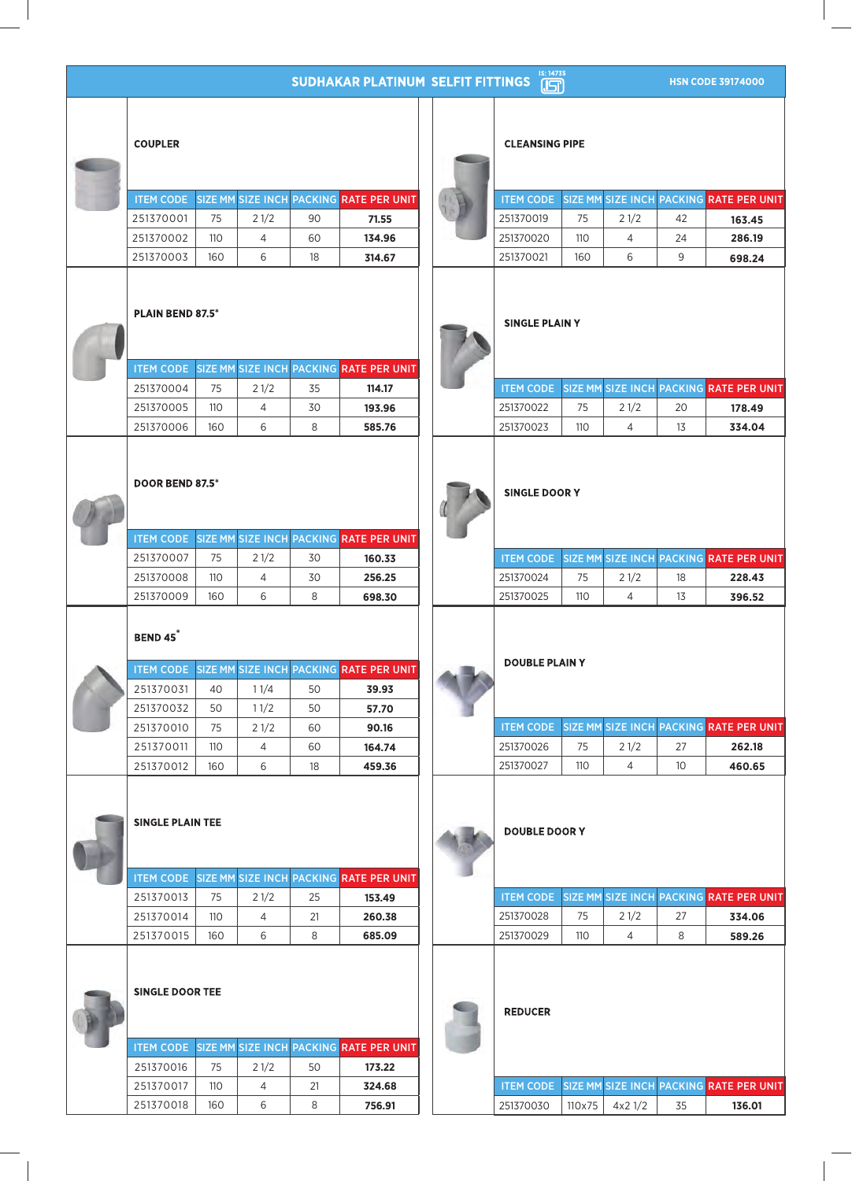## SUDHAKAR PLATINUM SELFIT FITTINGS

**HSN CODE 39174000**

|           |     |      |    | <b>ITEM CODE SIZE MM SIZE INCH PACKING RATE PER UNIT</b> |
|-----------|-----|------|----|----------------------------------------------------------|
| 251370001 | 75  | 21/2 | 90 | 71.55                                                    |
| 251370002 | 110 |      | 60 | 134.96                                                   |
| 251370003 | 160 |      | 18 | 314.67                                                   |

### **CLEANSING PIPE**

|           |     |      |    | <b>ITEM CODE SIZE MM SIZE INCH PACKING RATE PER UNIT</b> |
|-----------|-----|------|----|----------------------------------------------------------|
| 251370019 | 75  | 21/2 | 42 | 163.45                                                   |
| 251370020 | 110 |      | 24 | 286.19                                                   |
| 251370021 | 160 | ĥ    |    | 698.24                                                   |



|           |     |      |    | <b>ITEM CODE SIZE MM SIZE INCH PACKING RATE PER UNIT</b> |
|-----------|-----|------|----|----------------------------------------------------------|
| 251370004 | 75  | 21/2 | 35 | 114.17                                                   |
| 251370005 | 11O |      | 30 | 193.96                                                   |
| 251370006 | 160 | 6    | 8  | 585.76                                                   |
|           |     |      |    |                                                          |

#### **DOOR BEND 87.5\***

|           |     |      |    | <b>ITEM CODE SIZE MM SIZE INCH PACKING RATE PER UNIT</b> |
|-----------|-----|------|----|----------------------------------------------------------|
| 251370007 | 75  | 21/2 | 30 | 160.33                                                   |
| 251370008 | 110 |      | 30 | 256.25                                                   |
| 251370009 | 160 | ิค   | 8  | 698.30                                                   |

### **\***

|           |     |      |    | <b>ITEM CODE SIZE MM SIZE INCH PACKING RATE PER UNIT</b> |
|-----------|-----|------|----|----------------------------------------------------------|
| 251370031 | 40  | 11/4 | 50 | 39.93                                                    |
| 251370032 | 50  | 11/2 | 50 | 57.70                                                    |
| 251370010 | 75  | 21/2 | 60 | 90.16                                                    |
| 251370011 | 110 |      | 60 | 164.74                                                   |
| 251370012 | 160 |      | 18 | 459.36                                                   |

#### SINGLE PLAIN TEE

|           |                 |      |    | <b>ITEM CODE SIZE MM SIZE INCH PACKING RATE PER UNIT</b> |
|-----------|-----------------|------|----|----------------------------------------------------------|
| 251370013 | 75              | 21/2 | 25 | 153.49                                                   |
| 251370014 | 11 <sub>O</sub> |      | 21 | 260.38                                                   |
| 251370015 | 160             |      | 8  | 685.09                                                   |

### SINGLE DOOR TEE

|           |     |      |    | <b>ITEM CODE SIZE MM SIZE INCH PACKING RATE PER UNIT</b> |
|-----------|-----|------|----|----------------------------------------------------------|
| 251370016 | 75  | 21/2 | 50 | 173.22                                                   |
| 251370017 | 110 |      | 21 | 324.68                                                   |
| 251370018 | 160 |      | 8  | 756.91                                                   |

| <b>ITEM CODE</b>      |     |      |    | SIZE MM SIZE INCH PACKING RATE PER UNIT |  |  |  |  |
|-----------------------|-----|------|----|-----------------------------------------|--|--|--|--|
| 251370019             | 75  | 21/2 | 42 | 163.45                                  |  |  |  |  |
| 251370020             | 110 | 4    | 24 | 286.19                                  |  |  |  |  |
| 251370021             | 160 | 6    | 9  | 698.24                                  |  |  |  |  |
| <b>SINGLE PLAIN Y</b> |     |      |    |                                         |  |  |  |  |
| <b>ITEM CODE</b>      |     |      |    | SIZE MM SIZE INCH PACKING RATE PER UNIT |  |  |  |  |
| 251370022             | 75  | 21/2 | 20 | 178.49                                  |  |  |  |  |
| 251370023             | 110 | 4    | 13 | 334.04                                  |  |  |  |  |
| <b>SINGLE DOOR Y</b>  |     |      |    |                                         |  |  |  |  |
| <b>ITEM CODE</b>      |     |      |    | SIZE MM SIZE INCH PACKING RATE PER UNIT |  |  |  |  |
| 251370024             | 75  | 21/2 | 18 | 228.43                                  |  |  |  |  |
| 251370025             | 110 | 4    | 13 | 396.52                                  |  |  |  |  |
| <b>DOUBLE PLAIN Y</b> |     |      |    |                                         |  |  |  |  |
| <b>ITEM CODE</b>      |     |      |    | SIZE MM SIZE INCH PACKING RATE PER UNIT |  |  |  |  |
| 251370026             | 75  | 21/2 | 27 | 262.18                                  |  |  |  |  |
| 251370027             | 110 | 4    | 10 | 460.65                                  |  |  |  |  |
| <b>DOUBLE DOOR Y</b>  |     |      |    |                                         |  |  |  |  |
| <b>ITEM CODE</b>      |     |      |    | SIZE MM SIZE INCH PACKING RATE PER UNIT |  |  |  |  |
| 251370028             | 75  | 21/2 | 27 | 334.06                                  |  |  |  |  |
| 251370029             | 110 | 4    | 8  | 589.26                                  |  |  |  |  |
|                       |     |      |    |                                         |  |  |  |  |

## ITEM CODE SIZE MM SIZE INCH PACKING RATE PER UNIT 251370030 110x75 4x2 1/2 35 **136.01**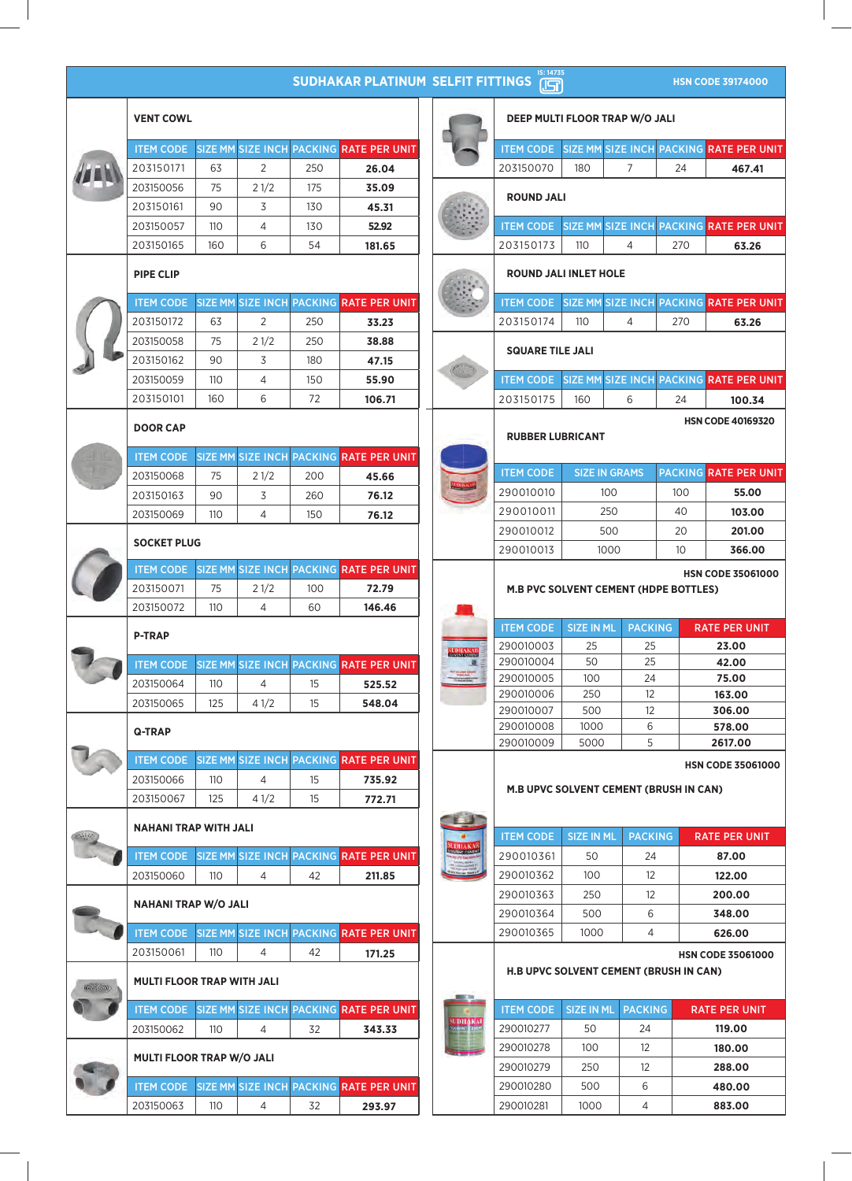| <b>IS: 14735</b> |
|------------------|
|                  |

**HSN CODE 39174000**

|             | <b>VENT COWL</b>                  |     |      |     |                                                   |                              | DEEP MULTI FLOOR TRAP W/O JALI               |                   |                      |     |                                                   |  |  |
|-------------|-----------------------------------|-----|------|-----|---------------------------------------------------|------------------------------|----------------------------------------------|-------------------|----------------------|-----|---------------------------------------------------|--|--|
|             |                                   |     |      |     | ITEM CODE SIZE MM SIZE INCH PACKING RATE PER UNIT |                              |                                              |                   |                      |     | ITEM CODE SIZE MM SIZE INCH PACKING RATE PER UNIT |  |  |
|             | 203150171                         | 63  | 2    | 250 | 26.04                                             |                              | 203150070                                    | 180               | 7                    | 24  | 467.41                                            |  |  |
|             | 203150056                         | 75  | 21/2 | 175 | 35.09                                             |                              | <b>ROUND JALI</b>                            |                   |                      |     |                                                   |  |  |
|             | 203150161                         | 90  | 3    | 130 | 45.31                                             |                              |                                              |                   |                      |     |                                                   |  |  |
|             | 203150057                         | 110 | 4    | 130 | 52.92                                             |                              |                                              |                   |                      |     | ITEM CODE SIZE MM SIZE INCH PACKING RATE PER UNIT |  |  |
|             | 203150165                         | 160 | 6    | 54  | 181.65                                            |                              | 203150173                                    | 110               | 4                    | 270 | 63.26                                             |  |  |
|             | <b>PIPE CLIP</b>                  |     |      |     |                                                   | <b>ROUND JALI INLET HOLE</b> |                                              |                   |                      |     |                                                   |  |  |
|             |                                   |     |      |     | ITEM CODE SIZE MM SIZE INCH PACKING RATE PER UNIT |                              |                                              |                   |                      |     | ITEM CODE SIZE MM SIZE INCH PACKING RATE PER UNIT |  |  |
|             | 203150172                         | 63  | 2    | 250 | 33.23                                             |                              | 203150174                                    | 110               | 4                    | 270 | 63.26                                             |  |  |
|             | 203150058                         | 75  | 21/2 | 250 | 38.88                                             |                              |                                              |                   |                      |     |                                                   |  |  |
|             | 203150162                         | 90  | 3    | 180 | 47.15                                             |                              | <b>SQUARE TILE JALI</b>                      |                   |                      |     |                                                   |  |  |
|             | 203150059                         | 110 | 4    | 150 | 55.90                                             |                              | <b>ITEM CODE</b>                             |                   |                      |     | SIZE MM SIZE INCH PACKING RATE PER UNIT           |  |  |
|             | 203150101                         | 160 | 6    | 72  | 106.71                                            |                              | 203150175                                    | 160               | 6                    | 24  | 100.34                                            |  |  |
|             |                                   |     |      |     |                                                   |                              |                                              |                   |                      |     | <b>HSN CODE 40169320</b>                          |  |  |
|             | <b>DOOR CAP</b>                   |     |      |     |                                                   | <b>RUBBER LUBRICANT</b>      |                                              |                   |                      |     |                                                   |  |  |
|             | <b>ITEM CODE</b>                  |     |      |     | SIZE MM SIZE INCH PACKING RATE PER UNIT           |                              |                                              |                   |                      |     |                                                   |  |  |
|             | 203150068                         | 75  | 21/2 | 200 | 45.66                                             |                              | <b>ITEM CODE</b>                             |                   | <b>SIZE IN GRAMS</b> |     | <b>PACKING RATE PER UNIT</b>                      |  |  |
|             | 203150163                         | 90  | 3    | 260 | 76.12                                             |                              | 290010010                                    |                   | 100                  | 100 | 55.00                                             |  |  |
|             | 203150069                         | 110 | 4    | 150 | 76.12                                             |                              | 290010011                                    |                   | 250                  | 40  | 103.00                                            |  |  |
|             |                                   |     |      |     |                                                   |                              | 290010012                                    |                   | 500                  | 20  | 201.00                                            |  |  |
|             | <b>SOCKET PLUG</b>                |     |      |     |                                                   |                              | 290010013                                    |                   | 1000                 | 10  | 366.00                                            |  |  |
|             | <b>ITEM CODE</b>                  |     |      |     | SIZE MM SIZE INCH PACKING RATE PER UNIT           |                              |                                              |                   |                      |     | <b>HSN CODE 35061000</b>                          |  |  |
|             | 203150071                         | 75  | 21/2 | 100 | 72.79                                             |                              | <b>M.B PVC SOLVENT CEMENT (HDPE BOTTLES)</b> |                   |                      |     |                                                   |  |  |
|             | 203150072                         | 110 | 4    | 60  | 146.46                                            |                              |                                              |                   |                      |     |                                                   |  |  |
|             | <b>P-TRAP</b>                     |     |      |     |                                                   |                              | <b>ITEM CODE</b>                             | <b>SIZE IN ML</b> | <b>PACKING</b>       |     | <b>RATE PER UNIT</b>                              |  |  |
|             |                                   |     |      |     |                                                   | <b>DHAKAR</b>                | 290010003                                    | 25                | 25                   |     | 23.00                                             |  |  |
|             | <b>ITEM CODE</b>                  |     |      |     | SIZE MM SIZE INCH PACKING RATE PER UNIT           |                              | 290010004<br>290010005                       | 50<br>100         | 25<br>24             |     | 42.00<br>75.00                                    |  |  |
|             | 203150064                         | 110 | 4    | 15  | 525.52                                            |                              | 290010006                                    | 250               | 12                   |     | 163.00                                            |  |  |
|             | 203150065                         | 125 | 41/2 | 15  | 548.04                                            |                              | 290010007                                    | 500               | 12                   |     | 306.00                                            |  |  |
|             | <b>Q-TRAP</b>                     |     |      |     |                                                   |                              | 290010008                                    | 1000              | 6                    |     | 578.00                                            |  |  |
|             |                                   |     |      |     |                                                   |                              | 290010009                                    | 5000              | 5                    |     | 2617.00                                           |  |  |
|             | <b>ITEM CODE</b>                  |     |      |     | SIZE MM SIZE INCH PACKING RATE PER UNIT           |                              | <b>HSN CODE 35061000</b>                     |                   |                      |     |                                                   |  |  |
|             | 203150066                         | 110 | 4    | 15  | 735.92                                            |                              | M.B UPVC SOLVENT CEMENT (BRUSH IN CAN)       |                   |                      |     |                                                   |  |  |
|             | 203150067                         | 125 | 41/2 | 15  | 772.71                                            |                              |                                              |                   |                      |     |                                                   |  |  |
|             | <b>NAHANI TRAP WITH JALI</b>      |     |      |     |                                                   |                              | <b>ITEM CODE</b>                             | <b>SIZE IN ML</b> | <b>PACKING</b>       |     | <b>RATE PER UNIT</b>                              |  |  |
|             |                                   |     |      |     | ITEM CODE SIZE MM SIZE INCH PACKING RATE PER UNIT |                              | 290010361                                    | 50                | 24                   |     | 87.00                                             |  |  |
|             | 203150060                         | 110 | 4    | 42  | 211.85                                            |                              | 290010362                                    | 100               | $12 \overline{ }$    |     | 122.00                                            |  |  |
|             |                                   |     |      |     |                                                   |                              | 290010363                                    | 250               | 12                   |     | 200.00                                            |  |  |
|             | <b>NAHANI TRAP W/O JALI</b>       |     |      |     |                                                   |                              | 290010364                                    | 500               | 6                    |     | 348.00                                            |  |  |
|             |                                   |     |      |     | ITEM CODE SIZE MM SIZE INCH PACKING RATE PER UNIT |                              | 290010365                                    | 1000              | 4                    |     | 626.00                                            |  |  |
|             | 203150061                         | 110 | 4    | 42  | 171.25                                            |                              |                                              |                   |                      |     | <b>HSN CODE 35061000</b>                          |  |  |
|             | <b>MULTI FLOOR TRAP WITH JALI</b> |     |      |     |                                                   |                              | H.B UPVC SOLVENT CEMENT (BRUSH IN CAN)       |                   |                      |     |                                                   |  |  |
| $(G_1, 50)$ |                                   |     |      |     |                                                   |                              |                                              |                   |                      |     |                                                   |  |  |
|             |                                   |     |      |     | ITEM CODE SIZE MM SIZE INCH PACKING RATE PER UNIT | UDHAR                        | <b>ITEM CODE</b>                             | SIZE IN ML        | <b>PACKING</b>       |     | <b>RATE PER UNIT</b>                              |  |  |
|             | 203150062                         | 110 | 4    | 32  | 343.33                                            |                              | 290010277                                    | 50                | 24                   |     | 119.00                                            |  |  |
|             | MULTI FLOOR TRAP W/O JALI         |     |      |     |                                                   |                              | 290010278                                    | 100               | $12 \overline{ }$    |     | 180.00                                            |  |  |
|             |                                   |     |      |     |                                                   |                              | 290010279                                    | 250               | $12 \overline{ }$    |     | 288.00                                            |  |  |
|             |                                   |     |      |     | ITEM CODE SIZE MM SIZE INCH PACKING RATE PER UNIT |                              | 290010280                                    | 500               | 6                    |     | 480.00                                            |  |  |
|             | 203150063                         | 110 | 4    | 32  | 293.97                                            |                              | 290010281                                    | 1000              | 4                    |     | 883.00                                            |  |  |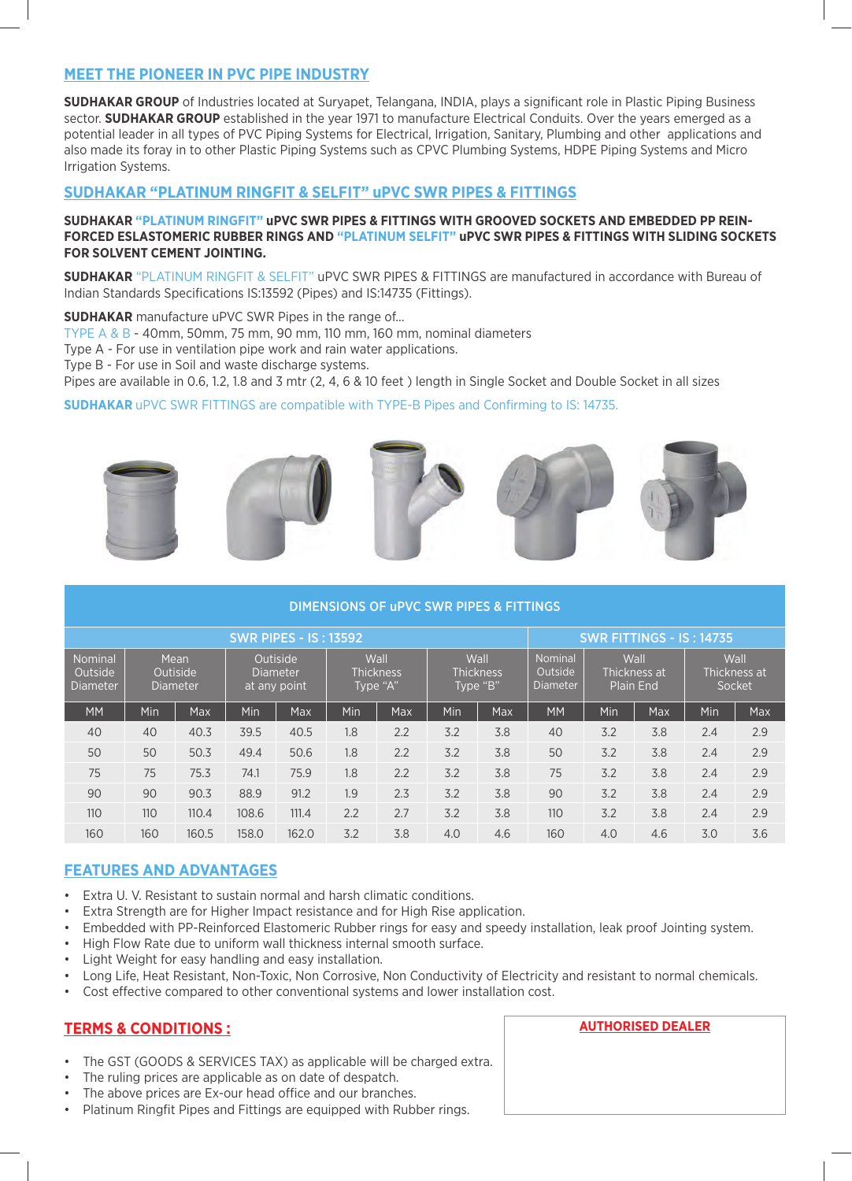### **MEET THE PIONEER IN PVC PIPE INDUSTRY**

**SUDHAKAR GROUP** of Industries located at Suryapet, Telangana, INDIA, plays a significant role in Plastic Piping Business sector. **SUDHAKAR GROUP** established in the year 1971 to manufacture Electrical Conduits. Over the years emerged as a potential leader in all types of PVC Piping Systems for Electrical, Irrigation, Sanitary, Plumbing and other applications and also made its foray in to other Plastic Piping Systems such as CPVC Plumbing Systems, HDPE Piping Systems and Micro Irrigation Systems.

### SUDHAKAR "PLATINUM RINGFIT & SELFIT" UPVC SWR PIPES & FITTINGS

#### SUDHAKAR "PLATINUM RINGFIT" uPVC SWR PIPES & FITTINGS WITH GROOVED SOCKETS AND EMBEDDED PP REIN-FORCED ESLASTOMERIC RUBBER RINGS AND "PLATINUM SELFIT" uPVC SWR PIPES & FITTINGS WITH SLIDING SOCKETS **FOR SOLVENT CEMENT JOINTING.**

SUDHAKAR "PLATINUM RINGFIT & SELFIT" uPVC SWR PIPES & FITTINGS are manufactured in accordance with Bureau of Indian Standards Specifications IS:13592 (Pipes) and IS:14735 (Fittings).

SUDHAKAR manufacture uPVC SWR Pipes in the range of...

 $T$ YPE A & B - 40mm, 50mm, 75 mm, 90 mm, 110 mm, 160 mm, nominal diameters

Type A - For use in ventilation pipe work and rain water applications.

Type B - For use in Soil and waste discharge systems.

Pipes are available in 0.6, 1.2, 1.8 and 3 mtr (2, 4, 6 & 10 feet) length in Single Socket and Double Socket in all sizes

**SUDHAKAR** uPVC SWR FITTINGS are compatible with TYPE-B Pipes and Confirming to IS: 14735.



| <b>DIMENSIONS OF UPVC SWR PIPES &amp; FITTINGS</b> |     |                                            |                                             |                                 |                                      |     |                                      |            |                                       |                                          |     |                                |     |
|----------------------------------------------------|-----|--------------------------------------------|---------------------------------------------|---------------------------------|--------------------------------------|-----|--------------------------------------|------------|---------------------------------------|------------------------------------------|-----|--------------------------------|-----|
|                                                    |     |                                            | <b>SWR PIPES - IS: 13592</b>                | <b>SWR FITTINGS - IS: 14735</b> |                                      |     |                                      |            |                                       |                                          |     |                                |     |
| Nominal<br>Outside<br>Diameter                     |     | <b>Mean</b><br>Outiside<br><b>Diameter</b> | Outiside<br><b>Diameter</b><br>at any point |                                 | Wall<br><b>Thickness</b><br>Type "A" |     | Wall<br><b>Thickness</b><br>Type "B" |            | Nominal<br>Outside<br><b>Diameter</b> | Wall<br>Thickness at<br><b>Plain End</b> |     | Wall<br>Thickness at<br>Socket |     |
| <b>MM</b>                                          | Min | <b>Max</b>                                 | Min                                         | Max                             | Min                                  | Max | Min                                  | <b>Max</b> | <b>MM</b>                             | Min                                      | Max | Min                            | Max |
| 40                                                 | 40  | 40.3                                       | 39.5                                        | 40.5                            | 1.8                                  | 2.2 | 3.2                                  | 3.8        | 40                                    | 3.2                                      | 3.8 | 2.4                            | 2.9 |
| 50                                                 | 50  | 50.3                                       | 49.4                                        | 50.6                            | 1.8                                  | 2.2 | 3.2                                  | 3.8        | 50                                    | 3.2                                      | 3.8 | 2.4                            | 2.9 |
| 75                                                 | 75  | 75.3                                       | 74.1                                        | 75.9                            | 1.8                                  | 2.2 | 3.2                                  | 3.8        | 75                                    | 3.2                                      | 3.8 | 2.4                            | 2.9 |
| 90                                                 | 90  | 90.3                                       | 88.9                                        | 91.2                            | 1.9                                  | 2.3 | 3.2                                  | 3.8        | 90                                    | 3.2                                      | 3.8 | 2.4                            | 2.9 |
| 110                                                | 110 | 110.4                                      | 108.6                                       | 111.4                           | 2.2                                  | 2.7 | 3.2                                  | 3.8        | 110                                   | 3.2                                      | 3.8 | 2.4                            | 2.9 |
| 160                                                | 160 | 160.5                                      | 158.0                                       | 162.0                           | 3.2                                  | 3.8 | 4.0                                  | 4.6        | 160                                   | 4.0                                      | 4.6 | 3.0                            | 3.6 |

### **FEATURES AND ADVANTAGES**

- Extra U. V. Resistant to sustain normal and harsh climatic conditions.
- Extra Strength are for Higher Impact resistance and for High Rise application.
- . Embedded with PP-Reinforced Elastomeric Rubber rings for easy and speedy installation, leak proof Jointing system.
- High Flow Rate due to uniform wall thickness internal smooth surface.
- Light Weight for easy handling and easy installation.
- Long Life, Heat Resistant, Non-Toxic, Non Corrosive, Non Conductivity of Electricity and resistant to normal chemicals.
- Cost effective compared to other conventional systems and lower installation cost.

### **TERMS & CONDITIONS:**

- The GST (GOODS & SERVICES TAX) as applicable will be charged extra.
- The ruling prices are applicable as on date of despatch.
- The above prices are Ex-our head office and our branches.
- Platinum Ringfit Pipes and Fittings are equipped with Rubber rings.

# **AUTHORISED DEALER**